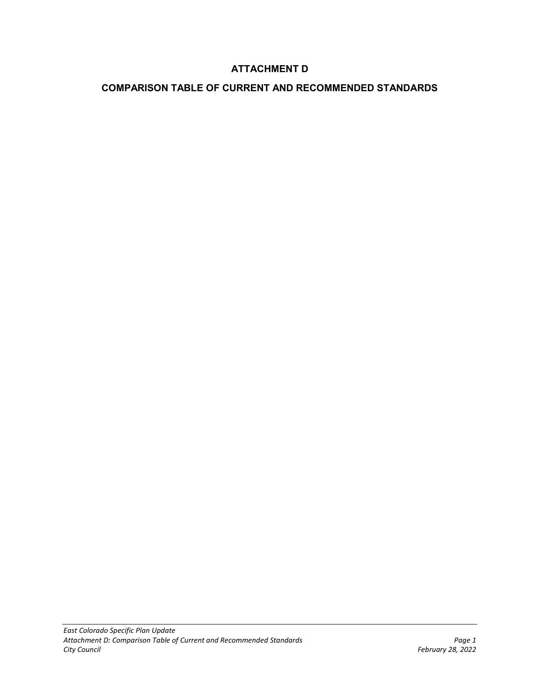# **ATTACHMENT D**

## **COMPARISON TABLE OF CURRENT AND RECOMMENDED STANDARDS**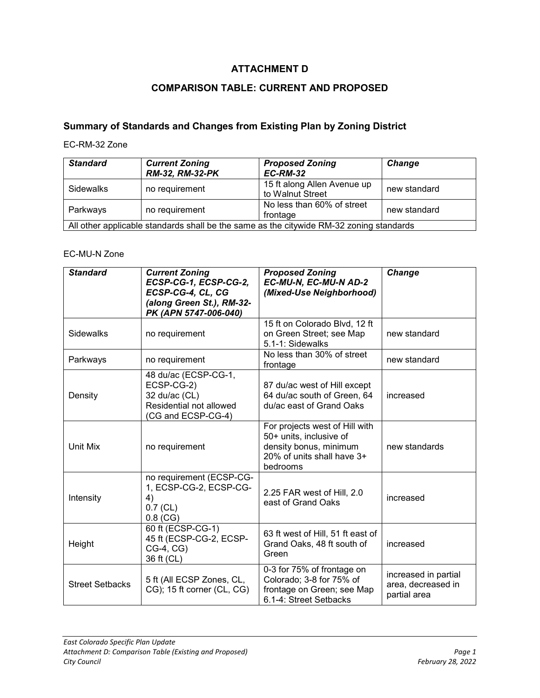# **ATTACHMENT D**

# **COMPARISON TABLE: CURRENT AND PROPOSED**

# **Summary of Standards and Changes from Existing Plan by Zoning District**

#### EC-RM-32 Zone

| <b>Standard</b>                                                                         | <b>Current Zoning</b><br>RM-32, RM-32-PK | <b>Proposed Zoning</b><br><b>EC-RM-32</b>       | Change       |
|-----------------------------------------------------------------------------------------|------------------------------------------|-------------------------------------------------|--------------|
| <b>Sidewalks</b>                                                                        | no requirement                           | 15 ft along Allen Avenue up<br>to Walnut Street | new standard |
| Parkways                                                                                | no requirement                           | No less than 60% of street<br>frontage          | new standard |
| All other applicable standards shall be the same as the citywide RM-32 zoning standards |                                          |                                                 |              |

### EC-MU-N Zone

| <b>Standard</b>        | <b>Current Zoning</b><br>ECSP-CG-1, ECSP-CG-2,<br>ECSP-CG-4, CL, CG<br>(along Green St.), RM-32-<br>PK (APN 5747-006-040) | <b>Proposed Zoning</b><br>EC-MU-N, EC-MU-N AD-2<br>(Mixed-Use Neighborhood)                                                   | <b>Change</b>                                              |
|------------------------|---------------------------------------------------------------------------------------------------------------------------|-------------------------------------------------------------------------------------------------------------------------------|------------------------------------------------------------|
| <b>Sidewalks</b>       | no requirement                                                                                                            | 15 ft on Colorado Blvd, 12 ft<br>on Green Street; see Map<br>5.1-1: Sidewalks                                                 | new standard                                               |
| Parkways               | no requirement                                                                                                            | No less than 30% of street<br>frontage                                                                                        | new standard                                               |
| Density                | 48 du/ac (ECSP-CG-1,<br>ECSP-CG-2)<br>32 du/ac (CL)<br>Residential not allowed<br>(CG and ECSP-CG-4)                      | 87 du/ac west of Hill except<br>64 du/ac south of Green, 64<br>du/ac east of Grand Oaks                                       | increased                                                  |
| Unit Mix               | no requirement                                                                                                            | For projects west of Hill with<br>50+ units, inclusive of<br>density bonus, minimum<br>20% of units shall have 3+<br>bedrooms | new standards                                              |
| Intensity              | no requirement (ECSP-CG-<br>1, ECSP-CG-2, ECSP-CG-<br>4)<br>$0.7$ (CL)<br>$0.8$ (CG)                                      | 2.25 FAR west of Hill, 2.0<br>east of Grand Oaks                                                                              | increased                                                  |
| Height                 | 60 ft (ECSP-CG-1)<br>45 ft (ECSP-CG-2, ECSP-<br>CG-4, CG)<br>36 ft (CL)                                                   | 63 ft west of Hill, 51 ft east of<br>Grand Oaks, 48 ft south of<br>Green                                                      | increased                                                  |
| <b>Street Setbacks</b> | 5 ft (All ECSP Zones, CL,<br>CG); 15 ft corner (CL, CG)                                                                   | 0-3 for 75% of frontage on<br>Colorado; 3-8 for 75% of<br>frontage on Green; see Map<br>6.1-4: Street Setbacks                | increased in partial<br>area, decreased in<br>partial area |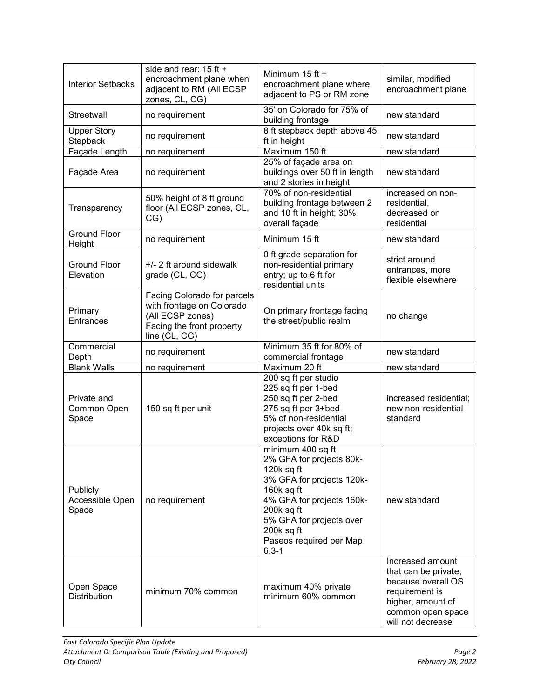| <b>Interior Setbacks</b>             | side and rear: 15 ft +<br>encroachment plane when<br>adjacent to RM (All ECSP<br>zones, CL, CG)                            | Minimum 15 ft +<br>encroachment plane where<br>adjacent to PS or RM zone                                                                                                                                                               | similar, modified<br>encroachment plane                                                                                                         |
|--------------------------------------|----------------------------------------------------------------------------------------------------------------------------|----------------------------------------------------------------------------------------------------------------------------------------------------------------------------------------------------------------------------------------|-------------------------------------------------------------------------------------------------------------------------------------------------|
| Streetwall                           | no requirement                                                                                                             | 35' on Colorado for 75% of<br>building frontage                                                                                                                                                                                        | new standard                                                                                                                                    |
| <b>Upper Story</b><br>Stepback       | no requirement                                                                                                             | 8 ft stepback depth above 45<br>ft in height                                                                                                                                                                                           | new standard                                                                                                                                    |
| Façade Length                        | no requirement                                                                                                             | Maximum 150 ft                                                                                                                                                                                                                         | new standard                                                                                                                                    |
| Façade Area                          | no requirement                                                                                                             | 25% of façade area on<br>buildings over 50 ft in length<br>and 2 stories in height                                                                                                                                                     | new standard                                                                                                                                    |
| Transparency                         | 50% height of 8 ft ground<br>floor (All ECSP zones, CL,<br>CG)                                                             | 70% of non-residential<br>building frontage between 2<br>and 10 ft in height; 30%<br>overall façade                                                                                                                                    | increased on non-<br>residential,<br>decreased on<br>residential                                                                                |
| <b>Ground Floor</b><br>Height        | no requirement                                                                                                             | Minimum 15 ft                                                                                                                                                                                                                          | new standard                                                                                                                                    |
| <b>Ground Floor</b><br>Elevation     | +/- 2 ft around sidewalk<br>grade (CL, CG)                                                                                 | 0 ft grade separation for<br>non-residential primary<br>entry; up to 6 ft for<br>residential units                                                                                                                                     | strict around<br>entrances, more<br>flexible elsewhere                                                                                          |
| Primary<br><b>Entrances</b>          | Facing Colorado for parcels<br>with frontage on Colorado<br>(All ECSP zones)<br>Facing the front property<br>line (CL, CG) | On primary frontage facing<br>the street/public realm                                                                                                                                                                                  | no change                                                                                                                                       |
| Commercial<br>Depth                  | no requirement                                                                                                             | Minimum 35 ft for 80% of<br>commercial frontage                                                                                                                                                                                        | new standard                                                                                                                                    |
| <b>Blank Walls</b>                   | no requirement                                                                                                             | Maximum 20 ft                                                                                                                                                                                                                          | new standard                                                                                                                                    |
| Private and<br>Common Open<br>Space  | 150 sq ft per unit                                                                                                         | 200 sq ft per studio<br>225 sq ft per 1-bed<br>250 sq ft per 2-bed<br>275 sq ft per 3+bed<br>5% of non-residential<br>projects over 40k sq ft;<br>exceptions for R&D                                                                   | increased residential;<br>new non-residential<br>standard                                                                                       |
| Publicly<br>Accessible Open<br>Space | no requirement                                                                                                             | minimum 400 sq ft<br>2% GFA for projects 80k-<br>120 $k$ sq ft<br>3% GFA for projects 120k-<br>160k sq ft<br>4% GFA for projects 160k-<br>200k sq ft<br>5% GFA for projects over<br>200k sq ft<br>Paseos required per Map<br>$6.3 - 1$ | new standard                                                                                                                                    |
| Open Space<br><b>Distribution</b>    | minimum 70% common                                                                                                         | maximum 40% private<br>minimum 60% common                                                                                                                                                                                              | Increased amount<br>that can be private;<br>because overall OS<br>requirement is<br>higher, amount of<br>common open space<br>will not decrease |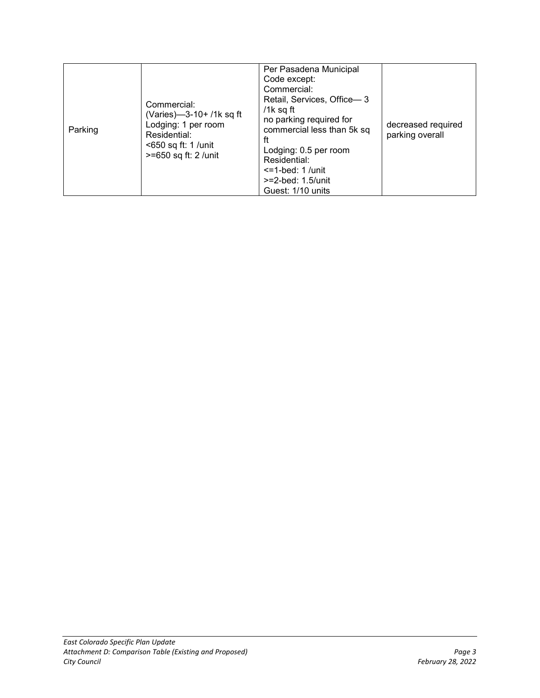| Parking | Commercial:<br>(Varies)-3-10+/1k sq ft<br>Lodging: 1 per room<br>Residential:<br><650 sq ft: 1 /unit<br>>=650 sq ft: 2 /unit | Per Pasadena Municipal<br>Code except:<br>Commercial:<br>Retail, Services, Office-3<br>/1 $k$ sq ft<br>no parking required for<br>commercial less than 5k sq<br>ft<br>Lodging: 0.5 per room<br>Residential:<br>$\le$ =1-bed: 1 /unit<br>$>=2$ -bed: 1.5/unit<br>Guest: 1/10 units | decreased required<br>parking overall |
|---------|------------------------------------------------------------------------------------------------------------------------------|-----------------------------------------------------------------------------------------------------------------------------------------------------------------------------------------------------------------------------------------------------------------------------------|---------------------------------------|
|---------|------------------------------------------------------------------------------------------------------------------------------|-----------------------------------------------------------------------------------------------------------------------------------------------------------------------------------------------------------------------------------------------------------------------------------|---------------------------------------|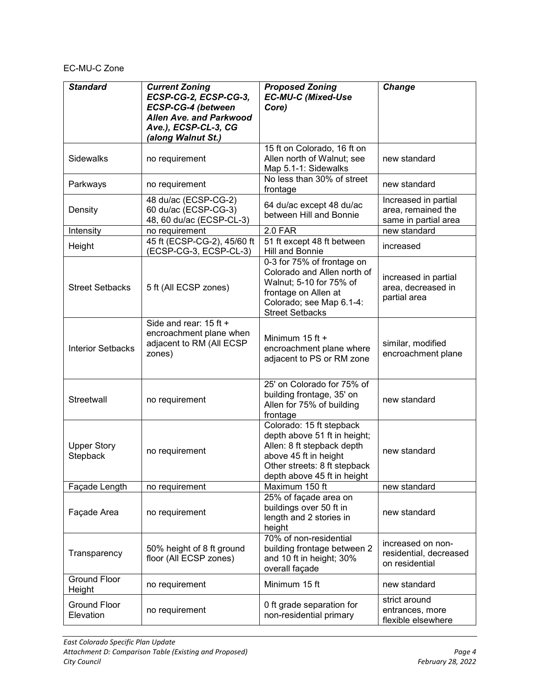## EC-MU-C Zone

| <b>Standard</b>                  | <b>Current Zoning</b><br>ECSP-CG-2, ECSP-CG-3,<br>ECSP-CG-4 (between<br><b>Allen Ave. and Parkwood</b><br>Ave.), ECSP-CL-3, CG<br>(along Walnut St.) | <b>Proposed Zoning</b><br><b>EC-MU-C (Mixed-Use</b><br>Core)                                                                                                                   | Change                                                             |
|----------------------------------|------------------------------------------------------------------------------------------------------------------------------------------------------|--------------------------------------------------------------------------------------------------------------------------------------------------------------------------------|--------------------------------------------------------------------|
| Sidewalks                        | no requirement                                                                                                                                       | 15 ft on Colorado, 16 ft on<br>Allen north of Walnut; see<br>Map 5.1-1: Sidewalks                                                                                              | new standard                                                       |
| Parkways                         | no requirement                                                                                                                                       | No less than 30% of street<br>frontage                                                                                                                                         | new standard                                                       |
| Density                          | 48 du/ac (ECSP-CG-2)<br>60 du/ac (ECSP-CG-3)<br>48, 60 du/ac (ECSP-CL-3)                                                                             | 64 du/ac except 48 du/ac<br>between Hill and Bonnie                                                                                                                            | Increased in partial<br>area, remained the<br>same in partial area |
| Intensity                        | no requirement                                                                                                                                       | 2.0 FAR                                                                                                                                                                        | new standard                                                       |
| Height                           | 45 ft (ECSP-CG-2), 45/60 ft<br>(ECSP-CG-3, ECSP-CL-3)                                                                                                | 51 ft except 48 ft between<br>Hill and Bonnie                                                                                                                                  | increased                                                          |
| <b>Street Setbacks</b>           | 5 ft (All ECSP zones)                                                                                                                                | 0-3 for 75% of frontage on<br>Colorado and Allen north of<br>Walnut; 5-10 for 75% of<br>frontage on Allen at<br>Colorado; see Map 6.1-4:<br><b>Street Setbacks</b>             | increased in partial<br>area, decreased in<br>partial area         |
| <b>Interior Setbacks</b>         | Side and rear: 15 ft +<br>encroachment plane when<br>adjacent to RM (All ECSP<br>zones)                                                              | Minimum 15 ft +<br>encroachment plane where<br>adjacent to PS or RM zone                                                                                                       | similar, modified<br>encroachment plane                            |
| Streetwall                       | no requirement                                                                                                                                       | 25' on Colorado for 75% of<br>building frontage, 35' on<br>Allen for 75% of building<br>frontage                                                                               | new standard                                                       |
| <b>Upper Story</b><br>Stepback   | no requirement                                                                                                                                       | Colorado: 15 ft stepback<br>depth above 51 ft in height;<br>Allen: 8 ft stepback depth<br>above 45 ft in height<br>Other streets: 8 ft stepback<br>depth above 45 ft in height | new standard                                                       |
| Façade Length                    | no requirement                                                                                                                                       | Maximum 150 ft                                                                                                                                                                 | new standard                                                       |
| Façade Area                      | no requirement                                                                                                                                       | 25% of façade area on<br>buildings over 50 ft in<br>length and 2 stories in<br>height                                                                                          | new standard                                                       |
| Transparency                     | 50% height of 8 ft ground<br>floor (All ECSP zones)                                                                                                  | 70% of non-residential<br>building frontage between 2<br>and 10 ft in height; 30%<br>overall façade                                                                            | increased on non-<br>residential, decreased<br>on residential      |
| <b>Ground Floor</b><br>Height    | no requirement                                                                                                                                       | Minimum 15 ft                                                                                                                                                                  | new standard                                                       |
| <b>Ground Floor</b><br>Elevation | no requirement                                                                                                                                       | 0 ft grade separation for<br>non-residential primary                                                                                                                           | strict around<br>entrances, more<br>flexible elsewhere             |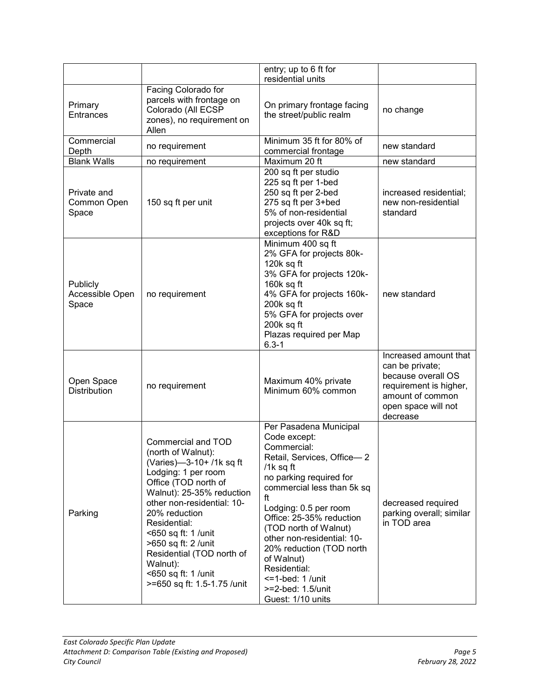|                                      |                                                                                                                                                                                                                                                                                                                                                              | entry; up to 6 ft for<br>residential units                                                                                                                                                                                                                                                                                                                                                            |                                                                                                                                                 |
|--------------------------------------|--------------------------------------------------------------------------------------------------------------------------------------------------------------------------------------------------------------------------------------------------------------------------------------------------------------------------------------------------------------|-------------------------------------------------------------------------------------------------------------------------------------------------------------------------------------------------------------------------------------------------------------------------------------------------------------------------------------------------------------------------------------------------------|-------------------------------------------------------------------------------------------------------------------------------------------------|
| Primary<br><b>Entrances</b>          | Facing Colorado for<br>parcels with frontage on<br>Colorado (All ECSP<br>zones), no requirement on<br>Allen                                                                                                                                                                                                                                                  | On primary frontage facing<br>the street/public realm                                                                                                                                                                                                                                                                                                                                                 | no change                                                                                                                                       |
| Commercial<br>Depth                  | no requirement                                                                                                                                                                                                                                                                                                                                               | Minimum 35 ft for 80% of<br>commercial frontage                                                                                                                                                                                                                                                                                                                                                       | new standard                                                                                                                                    |
| <b>Blank Walls</b>                   | no requirement                                                                                                                                                                                                                                                                                                                                               | Maximum 20 ft                                                                                                                                                                                                                                                                                                                                                                                         | new standard                                                                                                                                    |
| Private and<br>Common Open<br>Space  | 150 sq ft per unit                                                                                                                                                                                                                                                                                                                                           | 200 sq ft per studio<br>225 sq ft per 1-bed<br>250 sq ft per 2-bed<br>275 sq ft per 3+bed<br>5% of non-residential<br>projects over 40k sq ft;<br>exceptions for R&D                                                                                                                                                                                                                                  | increased residential;<br>new non-residential<br>standard                                                                                       |
| Publicly<br>Accessible Open<br>Space | no requirement                                                                                                                                                                                                                                                                                                                                               | Minimum 400 sq ft<br>2% GFA for projects 80k-<br>120k sq ft<br>3% GFA for projects 120k-<br>160k sq ft<br>4% GFA for projects 160k-<br>200k sq ft<br>5% GFA for projects over<br>200k sq ft<br>Plazas required per Map<br>$6.3 - 1$                                                                                                                                                                   | new standard                                                                                                                                    |
| Open Space<br><b>Distribution</b>    | no requirement                                                                                                                                                                                                                                                                                                                                               | Maximum 40% private<br>Minimum 60% common                                                                                                                                                                                                                                                                                                                                                             | Increased amount that<br>can be private;<br>because overall OS<br>requirement is higher,<br>amount of common<br>open space will not<br>decrease |
| Parking                              | Commercial and TOD<br>(north of Walnut):<br>(Varies)-3-10+ /1k sq ft<br>Lodging: 1 per room<br>Office (TOD north of<br>Walnut): 25-35% reduction<br>other non-residential: 10-<br>20% reduction<br>Residential:<br><650 sq ft: 1 /unit<br>>650 sq ft: 2 /unit<br>Residential (TOD north of<br>Walnut):<br><650 sq ft: 1 /unit<br>>=650 sq ft: 1.5-1.75 /unit | Per Pasadena Municipal<br>Code except:<br>Commercial:<br>Retail, Services, Office-2<br>/1k sq ft<br>no parking required for<br>commercial less than 5k sq<br>ft<br>Lodging: 0.5 per room<br>Office: 25-35% reduction<br>(TOD north of Walnut)<br>other non-residential: 10-<br>20% reduction (TOD north<br>of Walnut)<br>Residential:<br>$=$ 1-bed: 1 /unit<br>>=2-bed: 1.5/unit<br>Guest: 1/10 units | decreased required<br>parking overall; similar<br>in TOD area                                                                                   |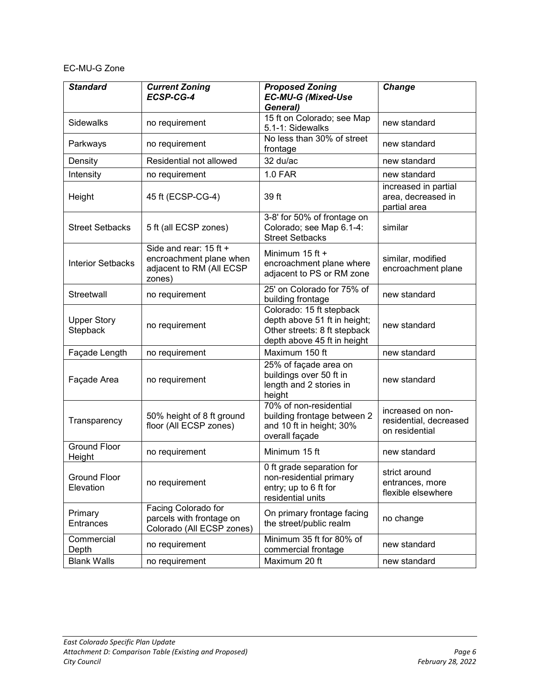### EC-MU-G Zone

| <b>Standard</b>                  | <b>Current Zoning</b><br>ECSP-CG-4                                                      | <b>Proposed Zoning</b><br><b>EC-MU-G (Mixed-Use</b><br>General)                                                         | Change                                                        |
|----------------------------------|-----------------------------------------------------------------------------------------|-------------------------------------------------------------------------------------------------------------------------|---------------------------------------------------------------|
| <b>Sidewalks</b>                 | no requirement                                                                          | 15 ft on Colorado; see Map<br>5.1-1: Sidewalks                                                                          | new standard                                                  |
| Parkways                         | no requirement                                                                          | No less than 30% of street<br>frontage                                                                                  | new standard                                                  |
| Density                          | Residential not allowed                                                                 | 32 du/ac                                                                                                                | new standard                                                  |
| Intensity                        | no requirement                                                                          | <b>1.0 FAR</b>                                                                                                          | new standard                                                  |
| Height                           | 45 ft (ECSP-CG-4)                                                                       | 39 ft                                                                                                                   | increased in partial<br>area, decreased in<br>partial area    |
| <b>Street Setbacks</b>           | 5 ft (all ECSP zones)                                                                   | 3-8' for 50% of frontage on<br>Colorado; see Map 6.1-4:<br><b>Street Setbacks</b>                                       | similar                                                       |
| <b>Interior Setbacks</b>         | Side and rear: 15 ft +<br>encroachment plane when<br>adjacent to RM (All ECSP<br>zones) | Minimum 15 ft +<br>encroachment plane where<br>adjacent to PS or RM zone                                                | similar, modified<br>encroachment plane                       |
| Streetwall                       | no requirement                                                                          | 25' on Colorado for 75% of<br>building frontage                                                                         | new standard                                                  |
| <b>Upper Story</b><br>Stepback   | no requirement                                                                          | Colorado: 15 ft stepback<br>depth above 51 ft in height;<br>Other streets: 8 ft stepback<br>depth above 45 ft in height | new standard                                                  |
| Façade Length                    | no requirement                                                                          | Maximum 150 ft                                                                                                          | new standard                                                  |
| Façade Area                      | no requirement                                                                          | 25% of façade area on<br>buildings over 50 ft in<br>length and 2 stories in<br>height                                   | new standard                                                  |
| Transparency                     | 50% height of 8 ft ground<br>floor (All ECSP zones)                                     | 70% of non-residential<br>building frontage between 2<br>and 10 ft in height; 30%<br>overall façade                     | increased on non-<br>residential, decreased<br>on residential |
| <b>Ground Floor</b><br>Height    | no requirement                                                                          | Minimum 15 ft                                                                                                           | new standard                                                  |
| <b>Ground Floor</b><br>Elevation | no requirement                                                                          | 0 ft grade separation for<br>non-residential primary<br>entry; up to 6 ft for<br>residential units                      | strict around<br>entrances, more<br>flexible elsewhere        |
| Primary<br>Entrances             | Facing Colorado for<br>parcels with frontage on<br>Colorado (All ECSP zones)            | On primary frontage facing<br>the street/public realm                                                                   | no change                                                     |
| Commercial<br>Depth              | no requirement                                                                          | Minimum 35 ft for 80% of<br>commercial frontage                                                                         | new standard                                                  |
| <b>Blank Walls</b>               | no requirement                                                                          | Maximum 20 ft                                                                                                           | new standard                                                  |